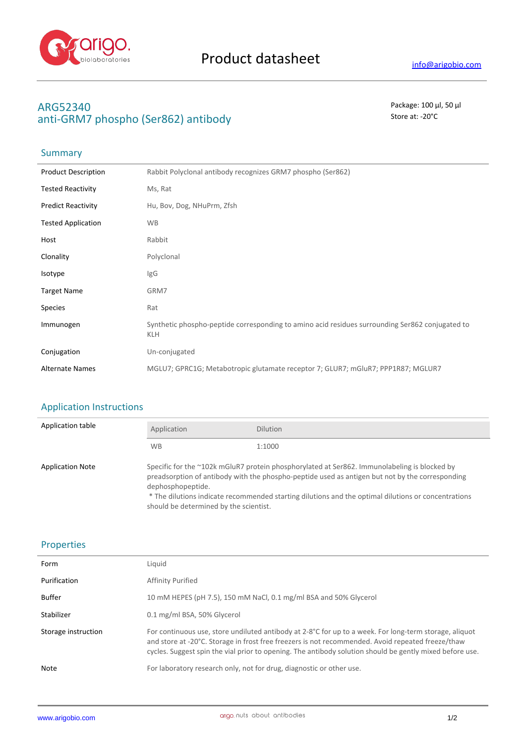

# **ARG52340** Package: 100 μl, 50 μl anti-GRM7 phospho (Ser862) antibody antibody store at: -20<sup>°</sup>C

# Summary

| <b>Product Description</b> | Rabbit Polyclonal antibody recognizes GRM7 phospho (Ser862)                                                   |
|----------------------------|---------------------------------------------------------------------------------------------------------------|
| <b>Tested Reactivity</b>   | Ms, Rat                                                                                                       |
| <b>Predict Reactivity</b>  | Hu, Bov, Dog, NHuPrm, Zfsh                                                                                    |
| <b>Tested Application</b>  | <b>WB</b>                                                                                                     |
| Host                       | Rabbit                                                                                                        |
| Clonality                  | Polyclonal                                                                                                    |
| Isotype                    | lgG                                                                                                           |
| <b>Target Name</b>         | GRM7                                                                                                          |
| <b>Species</b>             | Rat                                                                                                           |
| Immunogen                  | Synthetic phospho-peptide corresponding to amino acid residues surrounding Ser862 conjugated to<br><b>KLH</b> |
| Conjugation                | Un-conjugated                                                                                                 |
| <b>Alternate Names</b>     | MGLU7; GPRC1G; Metabotropic glutamate receptor 7; GLUR7; mGluR7; PPP1R87; MGLUR7                              |

# Application Instructions

| Application table       | Application                                                                                                                                                                                                                                                                                                                                                           | <b>Dilution</b> |
|-------------------------|-----------------------------------------------------------------------------------------------------------------------------------------------------------------------------------------------------------------------------------------------------------------------------------------------------------------------------------------------------------------------|-----------------|
|                         | <b>WB</b>                                                                                                                                                                                                                                                                                                                                                             | 1:1000          |
| <b>Application Note</b> | Specific for the ~102k mGluR7 protein phosphorylated at Ser862. Immunolabeling is blocked by<br>preadsorption of antibody with the phospho-peptide used as antigen but not by the corresponding<br>dephosphopeptide.<br>* The dilutions indicate recommended starting dilutions and the optimal dilutions or concentrations<br>should be determined by the scientist. |                 |

## Properties

| Form                | Liquid                                                                                                                                                                                                                                                                                                                  |
|---------------------|-------------------------------------------------------------------------------------------------------------------------------------------------------------------------------------------------------------------------------------------------------------------------------------------------------------------------|
| Purification        | Affinity Purified                                                                                                                                                                                                                                                                                                       |
| Buffer              | 10 mM HEPES (pH 7.5), 150 mM NaCl, 0.1 mg/ml BSA and 50% Glycerol                                                                                                                                                                                                                                                       |
| Stabilizer          | 0.1 mg/ml BSA, 50% Glycerol                                                                                                                                                                                                                                                                                             |
| Storage instruction | For continuous use, store undiluted antibody at 2-8°C for up to a week. For long-term storage, aliquot<br>and store at -20°C. Storage in frost free freezers is not recommended. Avoid repeated freeze/thaw<br>cycles. Suggest spin the vial prior to opening. The antibody solution should be gently mixed before use. |
| Note                | For laboratory research only, not for drug, diagnostic or other use.                                                                                                                                                                                                                                                    |